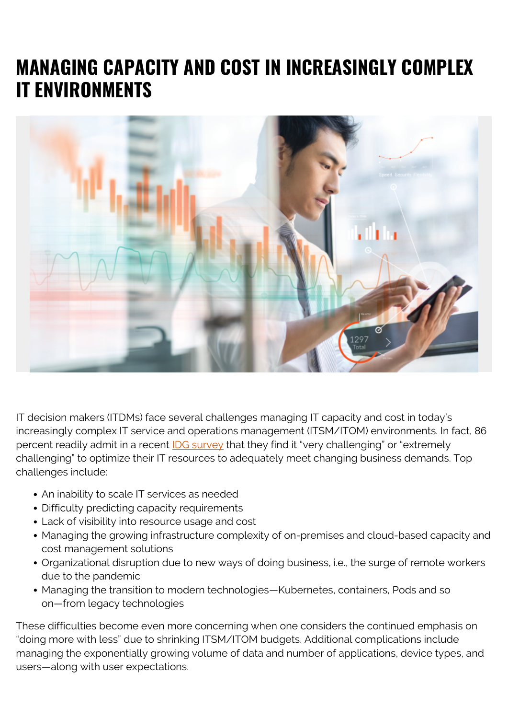## **MANAGING CAPACITY AND COST IN INCREASINGLY COMPLEX IT ENVIRONMENTS**



IT decision makers (ITDMs) face several challenges managing IT capacity and cost in today's increasingly complex IT service and operations management (ITSM/ITOM) environments. In fact, 86 percent readily admit in a recent [IDG survey](https://blogs.bmc.com/documents/white-papers/meeting-the-challenges-of-optimizing-it-cost-and-capacity-manage.html) that they find it "very challenging" or "extremely challenging" to optimize their IT resources to adequately meet changing business demands. Top challenges include:

- An inability to scale IT services as needed
- Difficulty predicting capacity requirements
- Lack of visibility into resource usage and cost
- Managing the growing infrastructure complexity of on-premises and cloud-based capacity and cost management solutions
- Organizational disruption due to new ways of doing business, i.e., the surge of remote workers due to the pandemic
- Managing the transition to modern technologies—Kubernetes, containers, Pods and so on—from legacy technologies

These difficulties become even more concerning when one considers the continued emphasis on "doing more with less" due to shrinking ITSM/ITOM budgets. Additional complications include managing the exponentially growing volume of data and number of applications, device types, and users—along with user expectations.